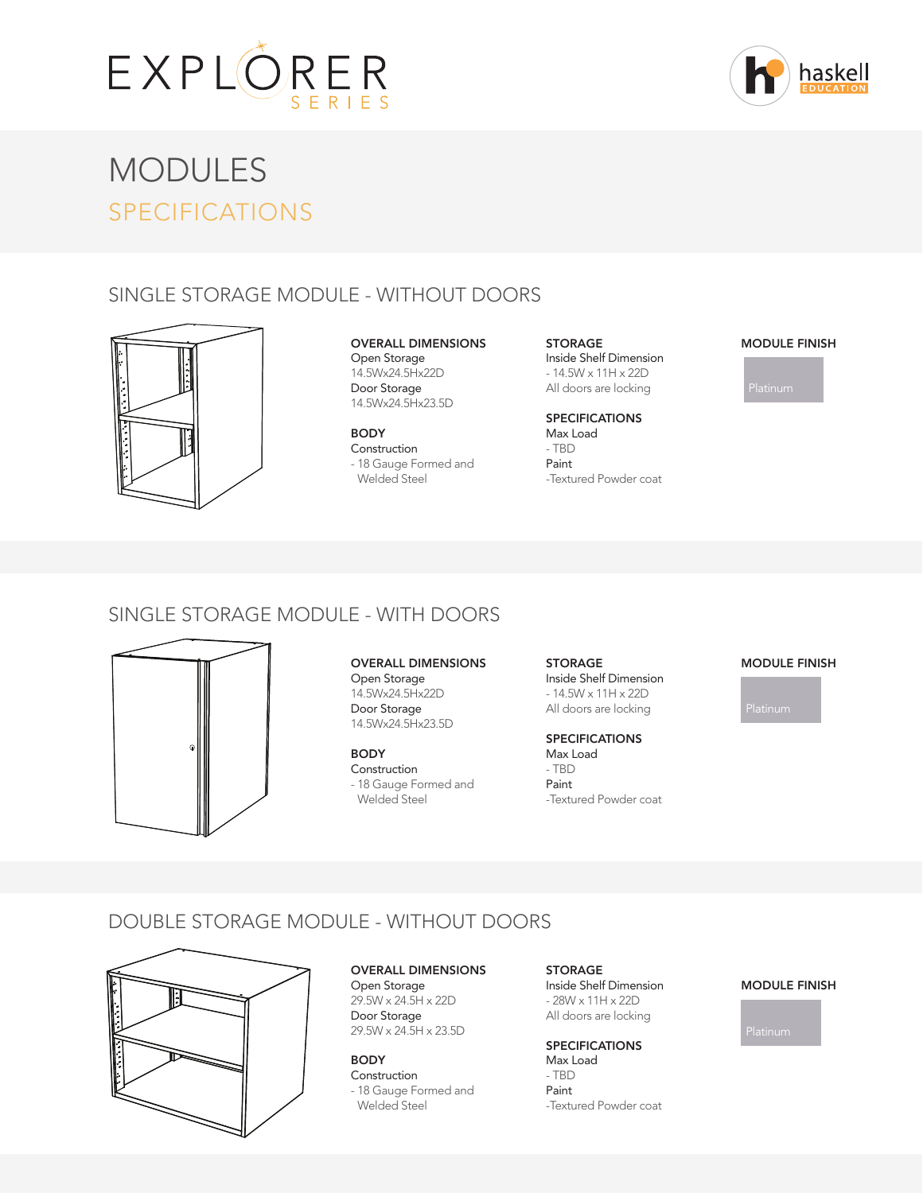



# MODULES SPECIFICATIONS

# SINGLE STORAGE MODULE - WITHOUT DOORS



OVERALL DIMENSIONS Open Storage 14.5Wx24.5Hx22D Door Storage 14.5Wx24.5Hx23.5D

BODY Construction - 18 Gauge Formed and Welded Steel

**STORAGE** Inside Shelf Dimension - 14.5W x 11H x 22D All doors are locking

SPECIFICATIONS Max Load - TBD Paint -Textured Powder coat

#### MODULE FINISH

# SINGLE STORAGE MODULE - WITH DOORS



OVERALL DIMENSIONS Open Storage 14.5Wx24.5Hx22D Door Storage 14.5Wx24.5Hx23.5D

BODY **Construction** - 18 Gauge Formed and Welded Steel

STORAGE Inside Shelf Dimension - 14.5W x 11H x 22D All doors are locking

SPECIFICATIONS Max Load - TBD Paint -Textured Powder coat

#### MODULE FINISH

# DOUBLE STORAGE MODULE - WITHOUT DOORS



OVERALL DIMENSIONS Open Storage 29.5W x 24.5H x 22D Door Storage 29.5W x 24.5H x 23.5D

BODY Construction - 18 Gauge Formed and Welded Steel

STORAGE Inside Shelf Dimension - 28W x 11H x 22D All doors are locking

SPECIFICATIONS Max Load - TBD Paint

-Textured Powder coat

#### MODULE FINISH